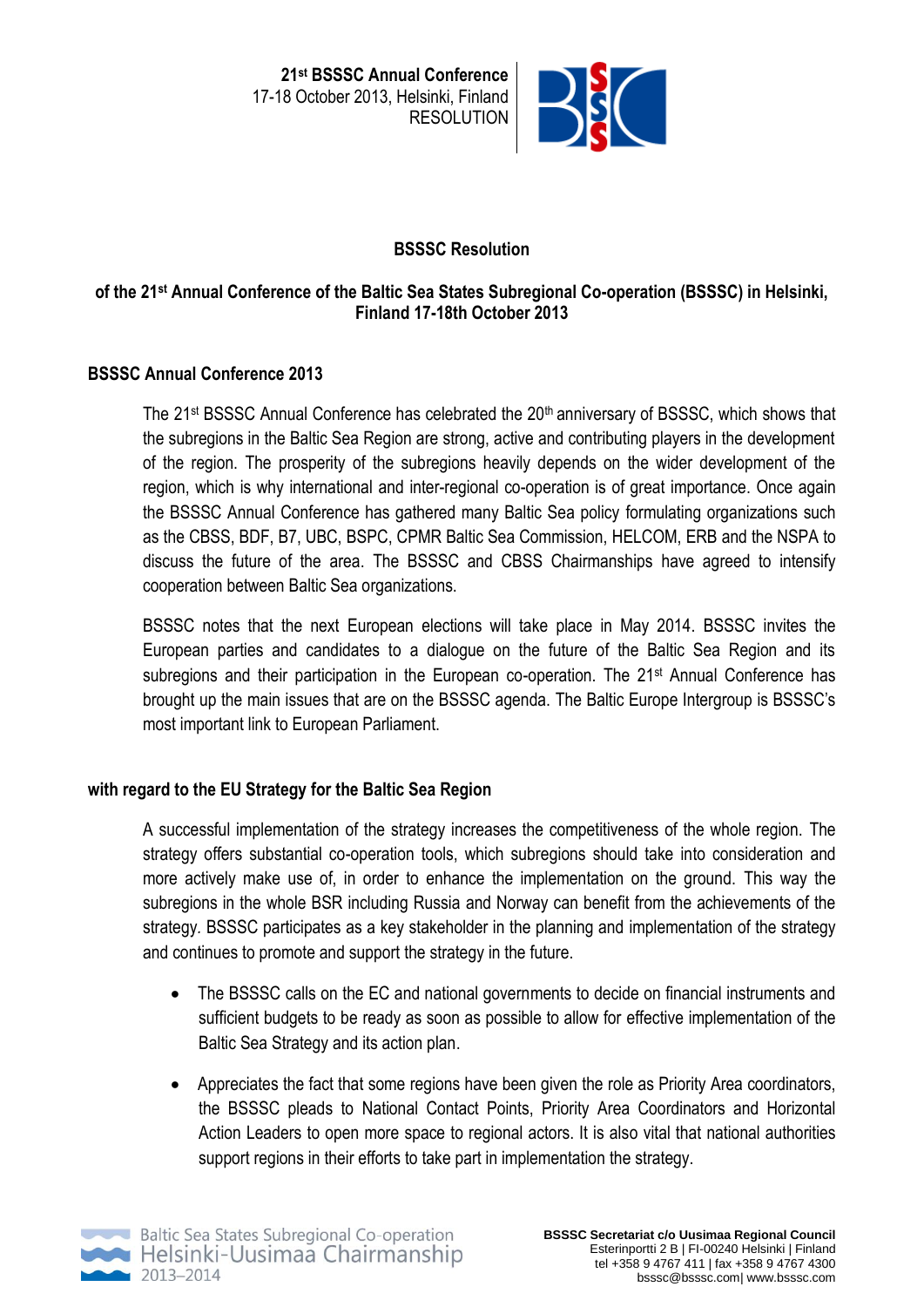**21st BSSSC Annual Conference**  17-18 October 2013, Helsinki, Finland RESOLUTION



# **BSSSC Resolution**

# **of the 21st Annual Conference of the Baltic Sea States Subregional Co-operation (BSSSC) in Helsinki, Finland 17-18th October 2013**

### **BSSSC Annual Conference 2013**

The 21<sup>st</sup> BSSSC Annual Conference has celebrated the  $20<sup>th</sup>$  anniversary of BSSSC, which shows that the subregions in the Baltic Sea Region are strong, active and contributing players in the development of the region. The prosperity of the subregions heavily depends on the wider development of the region, which is why international and inter-regional co-operation is of great importance. Once again the BSSSC Annual Conference has gathered many Baltic Sea policy formulating organizations such as the CBSS, BDF, B7, UBC, BSPC, CPMR Baltic Sea Commission, HELCOM, ERB and the NSPA to discuss the future of the area. The BSSSC and CBSS Chairmanships have agreed to intensify cooperation between Baltic Sea organizations.

BSSSC notes that the next European elections will take place in May 2014. BSSSC invites the European parties and candidates to a dialogue on the future of the Baltic Sea Region and its subregions and their participation in the European co-operation. The 21<sup>st</sup> Annual Conference has brought up the main issues that are on the BSSSC agenda. The Baltic Europe Intergroup is BSSSC's most important link to European Parliament.

## **with regard to the EU Strategy for the Baltic Sea Region**

A successful implementation of the strategy increases the competitiveness of the whole region. The strategy offers substantial co-operation tools, which subregions should take into consideration and more actively make use of, in order to enhance the implementation on the ground. This way the subregions in the whole BSR including Russia and Norway can benefit from the achievements of the strategy*.* BSSSC participates as a key stakeholder in the planning and implementation of the strategy and continues to promote and support the strategy in the future.

- The BSSSC calls on the EC and national governments to decide on financial instruments and sufficient budgets to be ready as soon as possible to allow for effective implementation of the Baltic Sea Strategy and its action plan.
- Appreciates the fact that some regions have been given the role as Priority Area coordinators, the BSSSC pleads to National Contact Points, Priority Area Coordinators and Horizontal Action Leaders to open more space to regional actors. It is also vital that national authorities support regions in their efforts to take part in implementation the strategy.

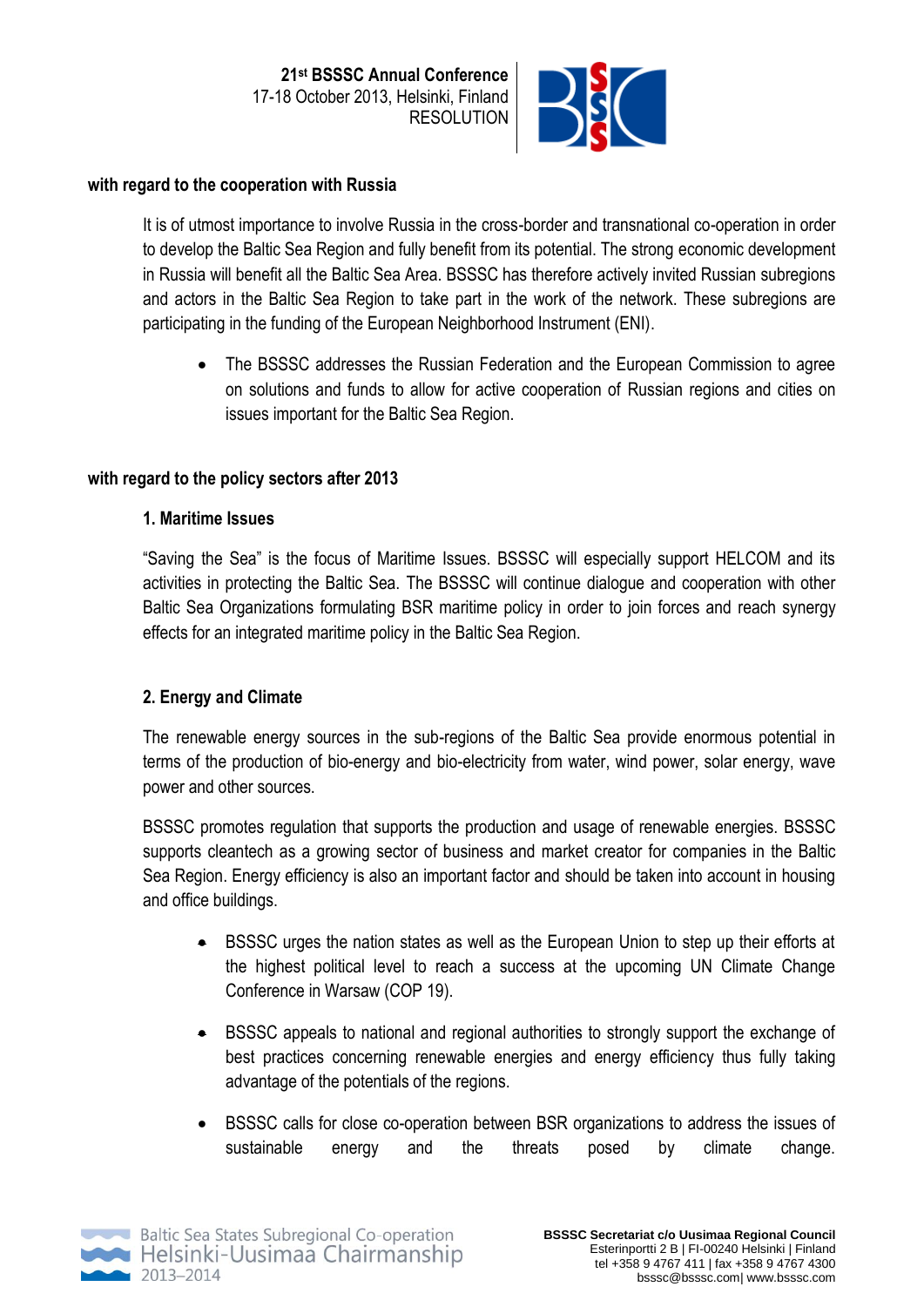

#### **with regard to the cooperation with Russia**

It is of utmost importance to involve Russia in the cross-border and transnational co-operation in order to develop the Baltic Sea Region and fully benefit from its potential. The strong economic development in Russia will benefit all the Baltic Sea Area. BSSSC has therefore actively invited Russian subregions and actors in the Baltic Sea Region to take part in the work of the network. These subregions are participating in the funding of the European Neighborhood Instrument (ENI).

 The BSSSC addresses the Russian Federation and the European Commission to agree on solutions and funds to allow for active cooperation of Russian regions and cities on issues important for the Baltic Sea Region.

## **with regard to the policy sectors after 2013**

### **1. Maritime Issues**

"Saving the Sea" is the focus of Maritime Issues. BSSSC will especially support HELCOM and its activities in protecting the Baltic Sea. The BSSSC will continue dialogue and cooperation with other Baltic Sea Organizations formulating BSR maritime policy in order to join forces and reach synergy effects for an integrated maritime policy in the Baltic Sea Region.

## **2. Energy and Climate**

The renewable energy sources in the sub-regions of the Baltic Sea provide enormous potential in terms of the production of bio-energy and bio-electricity from water, wind power, solar energy, wave power and other sources.

BSSSC promotes regulation that supports the production and usage of renewable energies. BSSSC supports cleantech as a growing sector of business and market creator for companies in the Baltic Sea Region. Energy efficiency is also an important factor and should be taken into account in housing and office buildings.

- BSSSC urges the nation states as well as the European Union to step up their efforts at the highest political level to reach a success at the upcoming UN Climate Change Conference in Warsaw (COP 19).
- BSSSC appeals to national and regional authorities to strongly support the exchange of best practices concerning renewable energies and energy efficiency thus fully taking advantage of the potentials of the regions.
- BSSSC calls for close co-operation between BSR organizations to address the issues of sustainable energy and the threats posed by climate change.